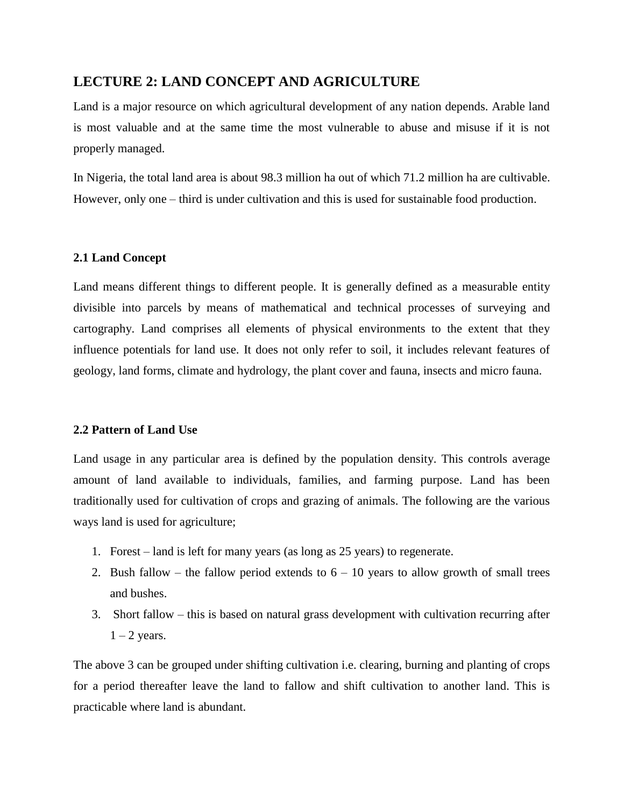## **LECTURE 2: LAND CONCEPT AND AGRICULTURE**

Land is a major resource on which agricultural development of any nation depends. Arable land is most valuable and at the same time the most vulnerable to abuse and misuse if it is not properly managed.

In Nigeria, the total land area is about 98.3 million ha out of which 71.2 million ha are cultivable. However, only one – third is under cultivation and this is used for sustainable food production.

## **2.1 Land Concept**

Land means different things to different people. It is generally defined as a measurable entity divisible into parcels by means of mathematical and technical processes of surveying and cartography. Land comprises all elements of physical environments to the extent that they influence potentials for land use. It does not only refer to soil, it includes relevant features of geology, land forms, climate and hydrology, the plant cover and fauna, insects and micro fauna.

## **2.2 Pattern of Land Use**

Land usage in any particular area is defined by the population density. This controls average amount of land available to individuals, families, and farming purpose. Land has been traditionally used for cultivation of crops and grazing of animals. The following are the various ways land is used for agriculture;

- 1. Forest land is left for many years (as long as 25 years) to regenerate.
- 2. Bush fallow the fallow period extends to  $6 10$  years to allow growth of small trees and bushes.
- 3. Short fallow this is based on natural grass development with cultivation recurring after  $1 - 2$  years.

The above 3 can be grouped under shifting cultivation i.e. clearing, burning and planting of crops for a period thereafter leave the land to fallow and shift cultivation to another land. This is practicable where land is abundant.